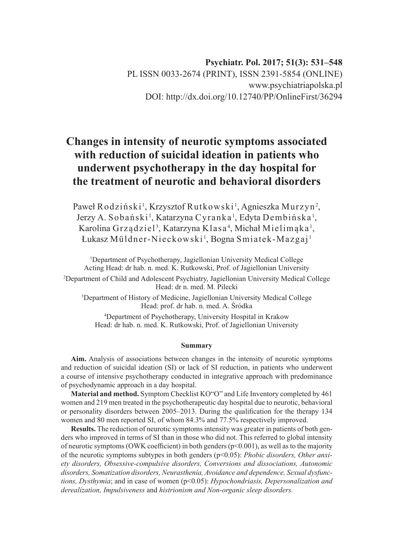**Psychiatr. Pol. 2017; 51(3): 531–548** PL ISSN 0033-2674 (PRINT), ISSN 2391-5854 (ONLINE) www.psychiatriapolska.pl DOI: http://dx.doi.org/10.12740/PP/OnlineFirst/36294

# **Changes in intensity of neurotic symptoms associated with reduction of suicidal ideation in patients who underwent psychotherapy in the day hospital for the treatment of neurotic and behavioral disorders**

Paweł Rodziński $^{\rm l}$ , Krzysztof Rutkowski $^{\rm l}$ , Agnieszka Murzyn $^{\rm 2}$ , Jerzy A. Sobański<sup>1</sup>, Katarzyna Cyranka<sup>1</sup>, Edyta Dembińska<sup>1</sup>, Karolina Grządziel<sup>3</sup>, Katarzyna Klasa<sup>4</sup>, Michał Mielimąka<sup>1</sup>, Łukasz Müldner-Nieckowski<sup>1</sup>, Bogna Smiatek-Mazgaj<sup>1</sup>

1 Department of Psychotherapy, Jagiellonian University Medical College Acting Head: dr hab. n. med. K. Rutkowski, Prof. of Jagiellonian University

2 Department of Child and Adolescent Psychiatry, Jagiellonian University Medical College Head: dr n. med. M. Pilecki

3 Department of History of Medicine, Jagiellonian University Medical College Head: prof. dr hab. n. med. A. Śródka

4 Department of Psychotherapy, University Hospital in Krakow Head: dr hab. n. med. K. Rutkowski, Prof. of Jagiellonian University

#### **Summary**

**Aim.** Analysis of associations between changes in the intensity of neurotic symptoms and reduction of suicidal ideation (SI) or lack of SI reduction, in patients who underwent a course of intensive psychotherapy conducted in integrative approach with predominance of psychodynamic approach in a day hospital.

**Material and method.** Symptom Checklist KO"O" and Life Inventory completed by 461 women and 219 men treated in the psychotherapeutic day hospital due to neurotic, behavioral or personality disorders between 2005–2013. During the qualification for the therapy 134 women and 80 men reported SI, of whom 84.3% and 77.5% respectively improved.

**Results.** The reduction of neurotic symptoms intensity was greater in patients of both genders who improved in terms of SI than in those who did not. This referred to global intensity of neurotic symptoms (OWK coefficient) in both genders ( $p<0.001$ ), as well as to the majority of the neurotic symptoms subtypes in both genders (p<0.05): *Phobic disorders, Other anxiety disorders, Obsessive-compulsive disorders, Conversions and dissociations, Autonomic disorders, Somatization disorders, Neurasthenia, Avoidance and dependence, Sexual dysfunctions, Dysthymia*; and in case of women (p<0.05): *Hypochondriasis, Depersonalization and derealization, Impulsiveness* and *histrionism and Non-organic sleep disorders.*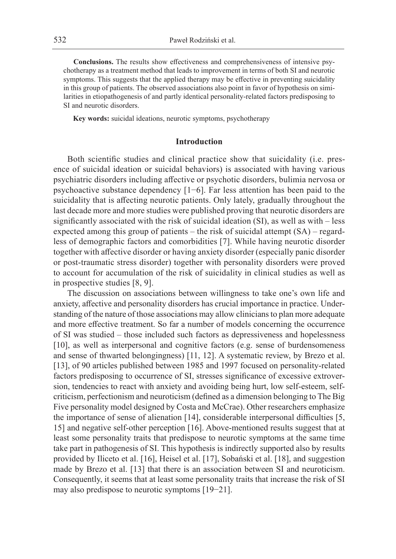**Conclusions.** The results show effectiveness and comprehensiveness of intensive psychotherapy as a treatment method that leads to improvement in terms of both SI and neurotic symptoms. This suggests that the applied therapy may be effective in preventing suicidality in this group of patients. The observed associations also point in favor of hypothesis on similarities in etiopathogenesis of and partly identical personality-related factors predisposing to SI and neurotic disorders.

**Key words:** suicidal ideations, neurotic symptoms, psychotherapy

## **Introduction**

Both scientific studies and clinical practice show that suicidality (i.e. presence of suicidal ideation or suicidal behaviors) is associated with having various psychiatric disorders including affective or psychotic disorders, bulimia nervosa or psychoactive substance dependency [1−6]. Far less attention has been paid to the suicidality that is affecting neurotic patients. Only lately, gradually throughout the last decade more and more studies were published proving that neurotic disorders are significantly associated with the risk of suicidal ideation (SI), as well as with – less expected among this group of patients – the risk of suicidal attempt (SA) – regardless of demographic factors and comorbidities [7]. While having neurotic disorder together with affective disorder or having anxiety disorder (especially panic disorder or post-traumatic stress disorder) together with personality disorders were proved to account for accumulation of the risk of suicidality in clinical studies as well as in prospective studies [8, 9].

The discussion on associations between willingness to take one's own life and anxiety, affective and personality disorders has crucial importance in practice. Understanding of the nature of those associations may allow clinicians to plan more adequate and more effective treatment. So far a number of models concerning the occurrence of SI was studied – those included such factors as depressiveness and hopelessness [10], as well as interpersonal and cognitive factors (e.g. sense of burdensomeness and sense of thwarted belongingness) [11, 12]. A systematic review, by Brezo et al. [13], of 90 articles published between 1985 and 1997 focused on personality-related factors predisposing to occurrence of SI, stresses significance of excessive extroversion, tendencies to react with anxiety and avoiding being hurt, low self-esteem, selfcriticism, perfectionism and neuroticism (defined as a dimension belonging to The Big Five personality model designed by Costa and McCrae). Other researchers emphasize the importance of sense of alienation [14], considerable interpersonal difficulties [5, 15] and negative self-other perception [16]. Above-mentioned results suggest that at least some personality traits that predispose to neurotic symptoms at the same time take part in pathogenesis of SI. This hypothesis is indirectly supported also by results provided by Iliceto et al. [16], Heisel et al. [17], Sobański et al. [18], and suggestion made by Brezo et al. [13] that there is an association between SI and neuroticism. Consequently, it seems that at least some personality traits that increase the risk of SI may also predispose to neurotic symptoms [19−21].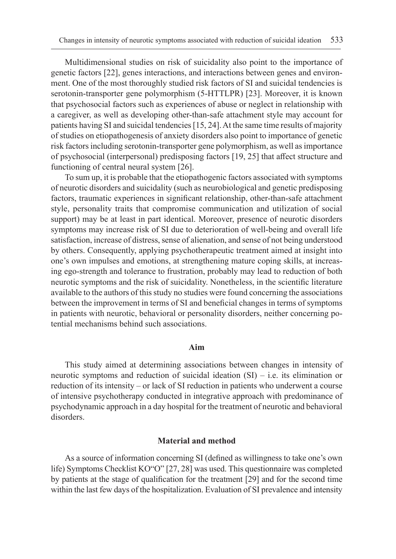Multidimensional studies on risk of suicidality also point to the importance of genetic factors [22], genes interactions, and interactions between genes and environment. One of the most thoroughly studied risk factors of SI and suicidal tendencies is serotonin-transporter gene polymorphism (5-HTTLPR) [23]. Moreover, it is known that psychosocial factors such as experiences of abuse or neglect in relationship with a caregiver, as well as developing other-than-safe attachment style may account for patients having SI and suicidal tendencies [15, 24]. At the same time results of majority of studies on etiopathogenesis of anxiety disorders also point to importance of genetic risk factors including serotonin-transporter gene polymorphism, as well as importance of psychosocial (interpersonal) predisposing factors [19, 25] that affect structure and functioning of central neural system [26].

To sum up, it is probable that the etiopathogenic factors associated with symptoms of neurotic disorders and suicidality (such as neurobiological and genetic predisposing factors, traumatic experiences in significant relationship, other-than-safe attachment style, personality traits that compromise communication and utilization of social support) may be at least in part identical. Moreover, presence of neurotic disorders symptoms may increase risk of SI due to deterioration of well-being and overall life satisfaction, increase of distress, sense of alienation, and sense of not being understood by others. Consequently, applying psychotherapeutic treatment aimed at insight into one's own impulses and emotions, at strengthening mature coping skills, at increasing ego-strength and tolerance to frustration, probably may lead to reduction of both neurotic symptoms and the risk of suicidality. Nonetheless, in the scientific literature available to the authors of this study no studies were found concerning the associations between the improvement in terms of SI and beneficial changes in terms of symptoms in patients with neurotic, behavioral or personality disorders, neither concerning potential mechanisms behind such associations.

### **Aim**

This study aimed at determining associations between changes in intensity of neurotic symptoms and reduction of suicidal ideation (SI) – i.e. its elimination or reduction of its intensity – or lack of SI reduction in patients who underwent a course of intensive psychotherapy conducted in integrative approach with predominance of psychodynamic approach in a day hospital for the treatment of neurotic and behavioral disorders.

#### **Material and method**

As a source of information concerning SI (defined as willingness to take one's own life) Symptoms Checklist KO"O" [27, 28] was used. This questionnaire was completed by patients at the stage of qualification for the treatment [29] and for the second time within the last few days of the hospitalization. Evaluation of SI prevalence and intensity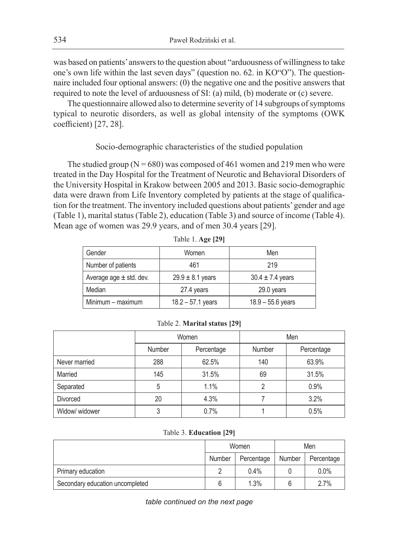was based on patients' answers to the question about "arduousness of willingness to take one's own life within the last seven days" (question no. 62. in KO"O"). The questionnaire included four optional answers: (0) the negative one and the positive answers that required to note the level of arduousness of SI: (a) mild, (b) moderate or (c) severe.

The questionnaire allowed also to determine severity of 14 subgroups of symptoms typical to neurotic disorders, as well as global intensity of the symptoms (OWK coefficient) [27, 28].

# Socio-demographic characteristics of the studied population

The studied group ( $N = 680$ ) was composed of 461 women and 219 men who were treated in the Day Hospital for the Treatment of Neurotic and Behavioral Disorders of the University Hospital in Krakow between 2005 and 2013. Basic socio-demographic data were drawn from Life Inventory completed by patients at the stage of qualification for the treatment. The inventory included questions about patients' gender and age (Table 1), marital status (Table 2), education (Table 3) and source of income (Table 4). Mean age of women was 29.9 years, and of men 30.4 years [29].

| Gender                      | Women                | Men                  |
|-----------------------------|----------------------|----------------------|
| Number of patients          | 461                  | 219                  |
| Average age $\pm$ std. dev. | $29.9 \pm 8.1$ years | $30.4 \pm 7.4$ years |
| Median                      | 27.4 years           | 29.0 years           |
| Minimum - maximum           | $18.2 - 57.1$ years  | $18.9 - 55.6$ years  |

| Table 1. Age [29] |  |  |
|-------------------|--|--|
|-------------------|--|--|

|  | Table 2. Marital status [29] |  |  |
|--|------------------------------|--|--|
|--|------------------------------|--|--|

|                 |        | Women      | Men    |            |  |  |
|-----------------|--------|------------|--------|------------|--|--|
|                 | Number | Percentage | Number | Percentage |  |  |
| Never married   | 288    | 62.5%      | 140    | 63.9%      |  |  |
| Married         | 145    | 31.5%      | 69     | 31.5%      |  |  |
| Separated       | 5      | 1.1%       | 2      | 0.9%       |  |  |
| <b>Divorced</b> | 20     | 4.3%       |        | 3.2%       |  |  |
| Widow/ widower  | 3      | 0.7%       |        | 0.5%       |  |  |

#### Table 3. **Education [29]**

|                                 |        | Women      | Men    |            |  |
|---------------------------------|--------|------------|--------|------------|--|
|                                 | Number | Percentage | Number | Percentage |  |
| Primary education               |        | 0.4%       |        | $0.0\%$    |  |
| Secondary education uncompleted |        | 1.3%       |        | 2.7%       |  |

*table continued on the next page*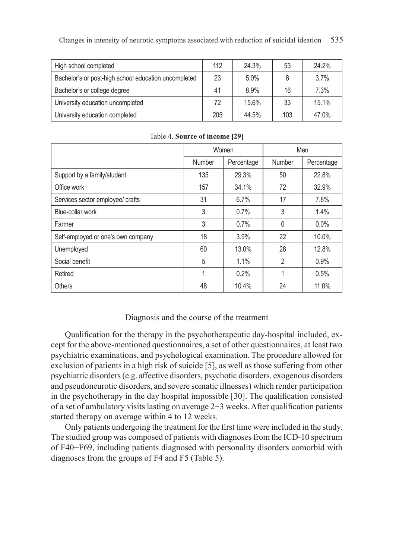| High school completed                                | 112 | 24.3% | 53  | 24.2% |
|------------------------------------------------------|-----|-------|-----|-------|
| Bachelor's or post-high school education uncompleted | 23  | 5.0%  | 8   | 3.7%  |
| Bachelor's or college degree                         | 41  | 8.9%  | 16  | 7.3%  |
| University education uncompleted                     | 72  | 15.6% | 33  | 15.1% |
| University education completed                       | 205 | 44.5% | 103 | 47.0% |

|                                    |        | Women      | Men            |            |  |
|------------------------------------|--------|------------|----------------|------------|--|
|                                    | Number | Percentage | Number         | Percentage |  |
| Support by a family/student        | 135    | 29.3%      | 50             | 22.8%      |  |
| Office work                        | 157    | 34.1%      | 72             | 32.9%      |  |
| Services sector employee/ crafts   | 31     | 6.7%       | 17             | 7.8%       |  |
| Blue-collar work                   | 3      | 0.7%       | 3              | 1.4%       |  |
| Farmer                             | 3      | 0.7%       | $\Omega$       | $0.0\%$    |  |
| Self-employed or one's own company | 18     | 3.9%       | 22             | 10.0%      |  |
| Unemployed                         | 60     | 13.0%      | 28             | 12.8%      |  |
| Social benefit                     | 5      | 1.1%       | $\overline{2}$ | 0.9%       |  |
| Retired                            | 1      | 0.2%       |                | 0.5%       |  |
| <b>Others</b>                      | 48     | 10.4%      | 24             | 11.0%      |  |

Table 4. **Source of income [29]**

## Diagnosis and the course of the treatment

Qualification for the therapy in the psychotherapeutic day-hospital included, except for the above-mentioned questionnaires, a set of other questionnaires, at least two psychiatric examinations, and psychological examination. The procedure allowed for exclusion of patients in a high risk of suicide [5], as well as those suffering from other psychiatric disorders (e.g. affective disorders, psychotic disorders, exogenous disorders and pseudoneurotic disorders, and severe somatic illnesses) which render participation in the psychotherapy in the day hospital impossible [30]. The qualification consisted of a set of ambulatory visits lasting on average 2−3 weeks. After qualification patients started therapy on average within 4 to 12 weeks.

Only patients undergoing the treatment for the first time were included in the study. The studied group was composed of patients with diagnoses from the ICD-10 spectrum of F40−F69, including patients diagnosed with personality disorders comorbid with diagnoses from the groups of F4 and F5 (Table 5).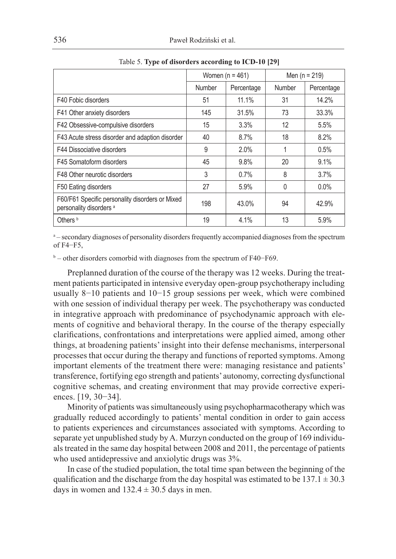|                                                                                       |        | Women ( $n = 461$ ) | Men ( $n = 219$ ) |            |
|---------------------------------------------------------------------------------------|--------|---------------------|-------------------|------------|
|                                                                                       | Number | Percentage          | Number            | Percentage |
| F40 Fobic disorders                                                                   | 51     | 11.1%               | 31                | 14.2%      |
| F41 Other anxiety disorders                                                           | 145    | 31.5%               | 73                | 33.3%      |
| F42 Obsessive-compulsive disorders                                                    | 15     | 3.3%                | 12                | 5.5%       |
| F43 Acute stress disorder and adaption disorder                                       | 40     | 8.7%                | 18                | 8.2%       |
| F44 Dissociative disorders                                                            | 9      | 2.0%                | 1                 | 0.5%       |
| F45 Somatoform disorders                                                              | 45     | 9.8%                | 20                | 9.1%       |
| F48 Other neurotic disorders                                                          | 3      | 0.7%                | 8                 | 3.7%       |
| F50 Eating disorders                                                                  | 27     | 5.9%                | 0                 | $0.0\%$    |
| F60/F61 Specific personality disorders or Mixed<br>personality disorders <sup>a</sup> | 198    | 43.0%               | 94                | 42.9%      |
| Others <sup>b</sup>                                                                   | 19     | 4.1%                | 13                | 5.9%       |

Table 5. **Type of disorders according to ICD-10 [29]**

<sup>a</sup> – secondary diagnoses of personality disorders frequently accompanied diagnoses from the spectrum of F4−F5,

b – other disorders comorbid with diagnoses from the spectrum of F40−F69.

Preplanned duration of the course of the therapy was 12 weeks. During the treatment patients participated in intensive everyday open-group psychotherapy including usually 8−10 patients and 10−15 group sessions per week, which were combined with one session of individual therapy per week. The psychotherapy was conducted in integrative approach with predominance of psychodynamic approach with elements of cognitive and behavioral therapy. In the course of the therapy especially clarifications, confrontations and interpretations were applied aimed, among other things, at broadening patients' insight into their defense mechanisms, interpersonal processes that occur during the therapy and functions of reported symptoms. Among important elements of the treatment there were: managing resistance and patients' transference, fortifying ego strength and patients' autonomy, correcting dysfunctional cognitive schemas, and creating environment that may provide corrective experiences. [19, 30−34].

Minority of patients was simultaneously using psychopharmacotherapy which was gradually reduced accordingly to patients' mental condition in order to gain access to patients experiences and circumstances associated with symptoms. According to separate yet unpublished study by A. Murzyn conducted on the group of 169 individuals treated in the same day hospital between 2008 and 2011, the percentage of patients who used antidepressive and anxiolytic drugs was 3%.

In case of the studied population, the total time span between the beginning of the qualification and the discharge from the day hospital was estimated to be  $137.1 \pm 30.3$ days in women and  $132.4 \pm 30.5$  days in men.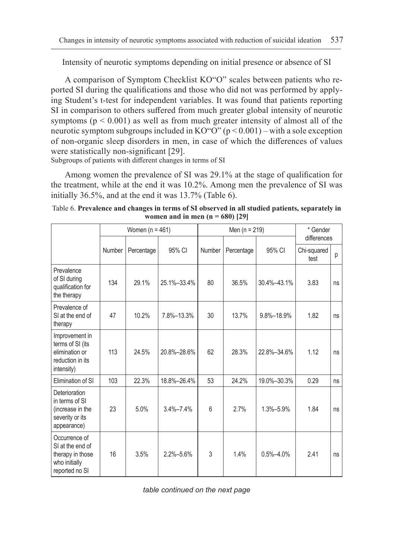Intensity of neurotic symptoms depending on initial presence or absence of SI

A comparison of Symptom Checklist KO"O" scales between patients who reported SI during the qualifications and those who did not was performed by applying Student's t-test for independent variables. It was found that patients reporting SI in comparison to others suffered from much greater global intensity of neurotic symptoms ( $p \le 0.001$ ) as well as from much greater intensity of almost all of the neurotic symptom subgroups included in  $KO^{\prime\prime}O^{\prime\prime}$  (p < 0.001) – with a sole exception of non-organic sleep disorders in men, in case of which the differences of values were statistically non-significant [29].

Subgroups of patients with different changes in terms of SI

Among women the prevalence of SI was 29.1% at the stage of qualification for the treatment, while at the end it was 10.2%. Among men the prevalence of SI was initially 36.5%, and at the end it was 13.7% (Table 6).

Table 6. **Prevalence and changes in terms of SI observed in all studied patients, separately in women and in men (n = 680) [29]**

|                                                                                          |        | Women ( $n = 461$ ) |                 |                                | Men $(n = 219)$ | * Gender                                |      |    |
|------------------------------------------------------------------------------------------|--------|---------------------|-----------------|--------------------------------|-----------------|-----------------------------------------|------|----|
|                                                                                          | Number | Percentage          | 95% CI          | 95% CI<br>Number<br>Percentage |                 | differences<br>Chi-squared<br>р<br>test |      |    |
| Prevalence<br>of SI during<br>qualification for<br>the therapy                           | 134    | 29.1%               | 25.1%-33.4%     | 80                             | 36.5%           | 30.4%-43.1%                             | 3.83 | ns |
| Prevalence of<br>SI at the end of<br>therapy                                             | 47     | 10.2%               | 7.8%-13.3%      | 30                             | 13.7%           | 9.8%-18.9%                              | 1.82 | ns |
| Improvement in<br>terms of SI (its<br>elimination or<br>reduction in its<br>intensity)   | 113    | 24.5%               | 20.8%-28.6%     | 62                             | 28.3%           | 22.8%-34.6%                             | 1.12 | ns |
| Elimination of SI                                                                        | 103    | 22.3%               | 18.8%-26.4%     | 53                             | 24.2%           | 19.0%-30.3%                             | 0.29 | ns |
| Deterioration<br>in terms of SI<br>(increase in the<br>severity or its<br>appearance)    | 23     | 5.0%                | $3.4\% - 7.4\%$ | $6\overline{6}$                | 2.7%            | $1.3% - 5.9%$                           | 1.84 | ns |
| Occurrence of<br>SI at the end of<br>therapy in those<br>who initially<br>reported no SI | 16     | 3.5%                | $2.2\% - 5.6\%$ | 3                              | 1.4%            | $0.5\% - 4.0\%$                         | 2.41 | ns |

*table continued on the next page*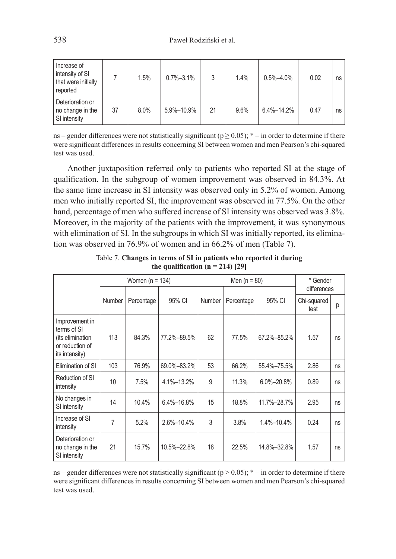| Increase of<br>intensity of SI<br>that were initially<br>reported |    | 1.5% | $0.7\% - 3.1\%$ |    | 1.4% | $0.5\% - 4.0\%$  | 0.02 | ns |
|-------------------------------------------------------------------|----|------|-----------------|----|------|------------------|------|----|
| Deterioration or<br>no change in the<br>SI intensity              | 37 | 8.0% | 5.9%-10.9%      | 21 | 9.6% | $6.4\% - 14.2\%$ | 0.47 | ns |

ns – gender differences were not statistically significant ( $p \ge 0.05$ ); \* – in order to determine if there were significant differences in results concerning SI between women and men Pearson's chi-squared test was used.

Another juxtaposition referred only to patients who reported SI at the stage of qualification. In the subgroup of women improvement was observed in 84.3%. At the same time increase in SI intensity was observed only in 5.2% of women. Among men who initially reported SI, the improvement was observed in 77.5%. On the other hand, percentage of men who suffered increase of SI intensity was observed was 3.8%. Moreover, in the majority of the patients with the improvement, it was synonymous with elimination of SI. In the subgroups in which SI was initially reported, its elimination was observed in 76.9% of women and in 66.2% of men (Table 7).

|                                                                                        | Women $(n = 134)$ |            |                                          |    | Men $(n = 80)$ | * Gender<br>differences<br>Chi-squared<br>р<br>test |      |    |
|----------------------------------------------------------------------------------------|-------------------|------------|------------------------------------------|----|----------------|-----------------------------------------------------|------|----|
|                                                                                        | Number            | Percentage | 95% CI<br>95% CI<br>Number<br>Percentage |    |                |                                                     |      |    |
| Improvement in<br>terms of SI<br>(its elimination<br>or reduction of<br>its intensity) | 113               | 84.3%      | 77.2%-89.5%                              | 62 | 77.5%          | 67.2%-85.2%                                         | 1.57 | ns |
| Elimination of SI                                                                      | 103               | 76.9%      | 69.0%-83.2%                              | 53 | 66.2%          | 55.4%-75.5%                                         | 2.86 | ns |
| Reduction of SI<br>intensity                                                           | 10                | 7.5%       | 4.1%-13.2%                               | 9  | 11.3%          | $6.0\% - 20.8\%$                                    | 0.89 | ns |
| No changes in<br>SI intensity                                                          | 14                | 10.4%      | 6.4%-16.8%                               | 15 | 18.8%          | 11.7%-28.7%                                         | 2.95 | ns |
| Increase of SI<br>intensity                                                            | 7                 | 5.2%       | 2.6%-10.4%                               | 3  | 3.8%           | 1.4%-10.4%                                          | 0.24 | ns |
| Deterioration or<br>no change in the<br>SI intensity                                   | 21                | 15.7%      | 10.5%-22.8%                              | 18 | 22.5%          | 14.8%-32.8%                                         | 1.57 | ns |

Table 7. **Changes in terms of SI in patients who reported it during** the qualification  $(n = 214)$  [29]

ns – gender differences were not statistically significant ( $p > 0.05$ );  $*$  – in order to determine if there were significant differences in results concerning SI between women and men Pearson's chi-squared test was used.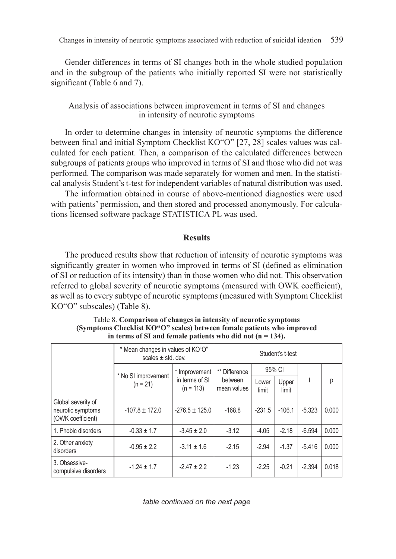Gender differences in terms of SI changes both in the whole studied population and in the subgroup of the patients who initially reported SI were not statistically significant (Table 6 and 7).

# Analysis of associations between improvement in terms of SI and changes in intensity of neurotic symptoms

In order to determine changes in intensity of neurotic symptoms the difference between final and initial Symptom Checklist KO"O" [27, 28] scales values was calculated for each patient. Then, a comparison of the calculated differences between subgroups of patients groups who improved in terms of SI and those who did not was performed. The comparison was made separately for women and men. In the statistical analysis Student's t-test for independent variables of natural distribution was used.

The information obtained in course of above-mentioned diagnostics were used with patients' permission, and then stored and processed anonymously. For calculations licensed software package STATISTICA PL was used.

## **Results**

The produced results show that reduction of intensity of neurotic symptoms was significantly greater in women who improved in terms of SI (defined as elimination of SI or reduction of its intensity) than in those women who did not. This observation referred to global severity of neurotic symptoms (measured with OWK coefficient), as well as to every subtype of neurotic symptoms (measured with Symptom Checklist KO"O" subscales) (Table 8).

|                                                              | * Mean changes in values of KO"O"<br>scales $\pm$ std. dev. | Student's t-test              |                        |                |                |          |       |
|--------------------------------------------------------------|-------------------------------------------------------------|-------------------------------|------------------------|----------------|----------------|----------|-------|
|                                                              |                                                             | * Improvement                 | ** Difference          | 95% CI         |                |          |       |
|                                                              | * No SI improvement<br>$(n = 21)$                           | in terms of SI<br>$(n = 113)$ | between<br>mean values | Lower<br>limit | Upper<br>limit | t        | р     |
| Global severity of<br>neurotic symptoms<br>(OWK coefficient) | $-107.8 \pm 172.0$                                          | $-276.5 \pm 125.0$            | $-168.8$               | $-231.5$       | $-106.1$       | $-5.323$ | 0.000 |
| 1. Phobic disorders                                          | $-0.33 \pm 1.7$                                             | $-3.45 \pm 2.0$               | $-3.12$                | $-4.05$        | $-2.18$        | $-6.594$ | 0.000 |
| 2. Other anxiety<br>disorders                                | $-0.95 \pm 2.2$                                             | $-3.11 \pm 1.6$               | $-2.15$                | $-2.94$        | $-1.37$        | $-5.416$ | 0.000 |
| 3. Obsessive-<br>compulsive disorders                        | $-1.24 \pm 1.7$                                             | $-2.47 \pm 2.2$               | $-1.23$                | $-2.25$        | $-0.21$        | $-2.394$ | 0.018 |

Table 8. **Comparison of changes in intensity of neurotic symptoms (Symptoms Checklist KO"O" scales) between female patients who improved in terms of SI and female patients who did not (n = 134).**

*table continued on the next page*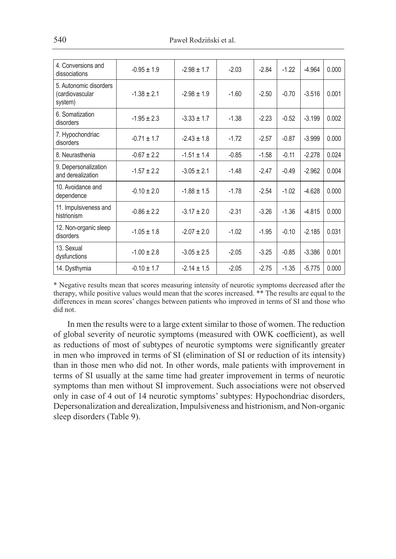| 4. Conversions and<br>dissociations                  | $-0.95 \pm 1.9$ | $-2.98 \pm 1.7$ | $-2.03$ | $-2.84$ | $-1.22$ | $-4.964$ | 0.000 |
|------------------------------------------------------|-----------------|-----------------|---------|---------|---------|----------|-------|
| 5. Autonomic disorders<br>(cardiovascular<br>system) | $-1.38 \pm 2.1$ | $-2.98 \pm 1.9$ | $-1.60$ | $-2.50$ | $-0.70$ | $-3.516$ | 0.001 |
| 6. Somatization<br>disorders                         | $-1.95 \pm 2.3$ | $-3.33 \pm 1.7$ | $-1.38$ | $-2.23$ | $-0.52$ | $-3.199$ | 0.002 |
| 7. Hypochondriac<br>disorders                        | $-0.71 + 1.7$   | $-2.43 + 1.8$   | $-1.72$ | $-2.57$ | $-0.87$ | $-3.999$ | 0.000 |
| 8. Neurasthenia                                      | $-0.67 + 2.2$   | $-1.51 + 1.4$   | $-0.85$ | $-1.58$ | $-0.11$ | $-2.278$ | 0.024 |
| 9. Depersonalization<br>and derealization            | $-1.57 \pm 2.2$ | $-3.05 \pm 2.1$ | $-1.48$ | $-2.47$ | $-0.49$ | $-2.962$ | 0.004 |
| 10. Avoidance and<br>dependence                      | $-0.10 \pm 2.0$ | $-1.88 \pm 1.5$ | $-1.78$ | $-2.54$ | $-1.02$ | $-4.628$ | 0.000 |
| 11. Impulsiveness and<br>histrionism                 | $-0.86 \pm 2.2$ | $-3.17 \pm 2.0$ | $-2.31$ | $-3.26$ | $-1.36$ | $-4.815$ | 0.000 |
| 12. Non-organic sleep<br>disorders                   | $-1.05 \pm 1.8$ | $-2.07 \pm 2.0$ | $-1.02$ | $-1.95$ | $-0.10$ | $-2.185$ | 0.031 |
| 13. Sexual<br>dysfunctions                           | $-1.00 \pm 2.8$ | $-3.05 \pm 2.5$ | $-2.05$ | $-3.25$ | $-0.85$ | $-3.386$ | 0.001 |
| 14. Dysthymia                                        | $-0.10 \pm 1.7$ | $-2.14 \pm 1.5$ | $-2.05$ | $-2.75$ | $-1.35$ | $-5.775$ | 0.000 |

\* Negative results mean that scores measuring intensity of neurotic symptoms decreased after the therapy, while positive values would mean that the scores increased. \*\* The results are equal to the differences in mean scores' changes between patients who improved in terms of SI and those who did not.

In men the results were to a large extent similar to those of women. The reduction of global severity of neurotic symptoms (measured with OWK coefficient), as well as reductions of most of subtypes of neurotic symptoms were significantly greater in men who improved in terms of SI (elimination of SI or reduction of its intensity) than in those men who did not. In other words, male patients with improvement in terms of SI usually at the same time had greater improvement in terms of neurotic symptoms than men without SI improvement. Such associations were not observed only in case of 4 out of 14 neurotic symptoms' subtypes: Hypochondriac disorders, Depersonalization and derealization, Impulsiveness and histrionism, and Non-organic sleep disorders (Table 9).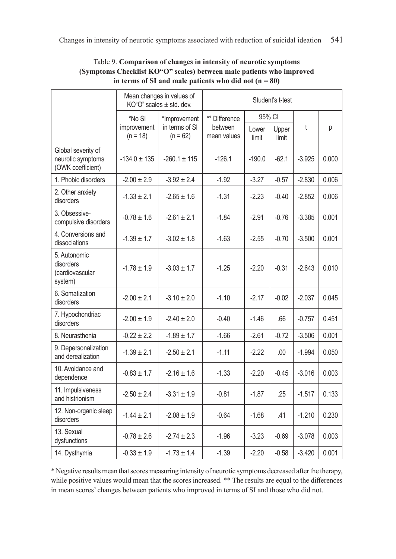|                                                              | Mean changes in values of<br>$KO^{\circ}O^{\circ}$ scales $\pm$ std. dev. |                                              | Student's t-test                        |                |                |          |       |  |
|--------------------------------------------------------------|---------------------------------------------------------------------------|----------------------------------------------|-----------------------------------------|----------------|----------------|----------|-------|--|
|                                                              | *No SI<br>improvement<br>$(n = 18)$                                       | *Improvement<br>in terms of SI<br>$(n = 62)$ | ** Difference<br>between<br>mean values | 95% CI         |                |          |       |  |
|                                                              |                                                                           |                                              |                                         | Lower<br>limit | Upper<br>limit | t        | р     |  |
| Global severity of<br>neurotic symptoms<br>(OWK coefficient) | $-134.0 \pm 135$                                                          | $-260.1 \pm 115$                             | $-126.1$                                | $-190.0$       | $-62.1$        | $-3.925$ | 0.000 |  |
| 1. Phobic disorders                                          | $-2.00 \pm 2.9$                                                           | $-3.92 \pm 2.4$                              | $-1.92$                                 | $-3.27$        | $-0.57$        | $-2.830$ | 0.006 |  |
| 2. Other anxiety<br>disorders                                | $-1.33 \pm 2.1$                                                           | $-2.65 \pm 1.6$                              | $-1.31$                                 | $-2.23$        | $-0.40$        | $-2.852$ | 0.006 |  |
| 3. Obsessive-<br>compulsive disorders                        | $-0.78 \pm 1.6$                                                           | $-2.61 \pm 2.1$                              | $-1.84$                                 | $-2.91$        | $-0.76$        | $-3.385$ | 0.001 |  |
| 4. Conversions and<br>dissociations                          | $-1.39 \pm 1.7$                                                           | $-3.02 \pm 1.8$                              | $-1.63$                                 | $-2.55$        | $-0.70$        | $-3.500$ | 0.001 |  |
| 5. Autonomic<br>disorders<br>(cardiovascular<br>system)      | $-1.78 \pm 1.9$                                                           | $-3.03 \pm 1.7$                              | $-1.25$                                 | $-2.20$        | $-0.31$        | $-2.643$ | 0.010 |  |
| 6. Somatization<br>disorders                                 | $-2.00 \pm 2.1$                                                           | $-3.10 \pm 2.0$                              | $-1.10$                                 | $-2.17$        | $-0.02$        | $-2.037$ | 0.045 |  |
| 7. Hypochondriac<br>disorders                                | $-2.00 \pm 1.9$                                                           | $-2.40 \pm 2.0$                              | $-0.40$                                 | $-1.46$        | .66            | $-0.757$ | 0.451 |  |
| 8. Neurasthenia                                              | $-0.22 \pm 2.2$                                                           | $-1.89 \pm 1.7$                              | $-1.66$                                 | $-2.61$        | $-0.72$        | $-3.506$ | 0.001 |  |
| 9. Depersonalization<br>and derealization                    | $-1.39 \pm 2.1$                                                           | $-2.50 \pm 2.1$                              | $-1.11$                                 | $-2.22$        | .00.           | $-1.994$ | 0.050 |  |
| 10. Avoidance and<br>dependence                              | $-0.83 \pm 1.7$                                                           | $-2.16 \pm 1.6$                              | $-1.33$                                 | $-2.20$        | $-0.45$        | $-3.016$ | 0.003 |  |
| 11. Impulsiveness<br>and histrionism                         | $-2.50 \pm 2.4$                                                           | $-3.31 \pm 1.9$                              | $-0.81$                                 | $-1.87$        | .25            | $-1.517$ | 0.133 |  |
| 12. Non-organic sleep<br>disorders                           | $-1.44 \pm 2.1$                                                           | $-2.08 \pm 1.9$                              | $-0.64$                                 | $-1.68$        | .41            | $-1.210$ | 0.230 |  |
| 13. Sexual<br>dysfunctions                                   | $-0.78 \pm 2.6$                                                           | $-2.74 \pm 2.3$                              | $-1.96$                                 | $-3.23$        | $-0.69$        | $-3.078$ | 0.003 |  |
| 14. Dysthymia                                                | $-0.33 \pm 1.9$                                                           | $-1.73 \pm 1.4$                              | $-1.39$                                 | $-2.20$        | $-0.58$        | $-3.420$ | 0.001 |  |

# Table 9. **Comparison of changes in intensity of neurotic symptoms (Symptoms Checklist KO"O" scales) between male patients who improved** in terms of SI and male patients who did not  $(n = 80)$

\* Negative results mean that scores measuring intensity of neurotic symptoms decreased after the therapy, while positive values would mean that the scores increased. \*\* The results are equal to the differences in mean scores' changes between patients who improved in terms of SI and those who did not.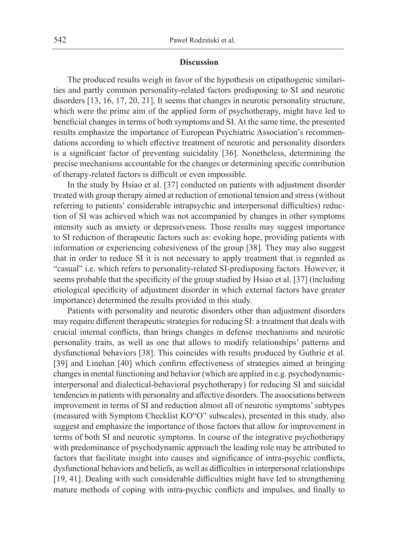#### **Discussion**

The produced results weigh in favor of the hypothesis on etipathogenic similarities and partly common personality-related factors predisposing to SI and neurotic disorders [13, 16, 17, 20, 21]. It seems that changes in neurotic personality structure, which were the prime aim of the applied form of psychotherapy, might have led to beneficial changes in terms of both symptoms and SI. At the same time, the presented results emphasize the importance of European Psychiatric Association's recommendations according to which effective treatment of neurotic and personality disorders is a significant factor of preventing suicidality [36]. Nonetheless, determining the precise mechanisms accountable for the changes or determining specific contribution of therapy-related factors is difficult or even impossible.

In the study by Hsiao et al. [37] conducted on patients with adjustment disorder treated with group therapy aimed at reduction of emotional tension and stress (without referring to patients' considerable intrapsychic and interpersonal difficulties) reduction of SI was achieved which was not accompanied by changes in other symptoms intensity such as anxiety or depressiveness. Those results may suggest importance to SI reduction of therapeutic factors such as: evoking hope, providing patients with information or experiencing cohesiveness of the group [38]. They may also suggest that in order to reduce SI it is not necessary to apply treatment that is regarded as "casual" i.e. which refers to personality-related SI-predisposing factors. However, it seems probable that the specificity of the group studied by Hsiao et al. [37] (including etiological specificity of adjustment disorder in which external factors have greater importance) determined the results provided in this study.

Patients with personality and neurotic disorders other than adjustment disorders may require different therapeutic strategies for reducing SI: a treatment that deals with crucial internal conflicts, than brings changes in defense mechanisms and neurotic personality traits, as well as one that allows to modify relationships' patterns and dysfunctional behaviors [38]. This coincides with results produced by Guthrie et al. [39] and Linehan [40] which confirm effectiveness of strategies aimed at bringing changes in mental functioning and behavior (which are applied in e.g. psychodynamicinterpersonal and dialectical-behavioral psychotherapy) for reducing SI and suicidal tendencies in patients with personality and affective disorders. The associations between improvement in terms of SI and reduction almost all of neurotic symptoms' subtypes (measured with Symptom Checklist KO"O" subscales), presented in this study, also suggest and emphasize the importance of those factors that allow for improvement in terms of both SI and neurotic symptoms. In course of the integrative psychotherapy with predominance of psychodynamic approach the leading role may be attributed to factors that facilitate insight into causes and significance of intra-psychic conflicts, dysfunctional behaviors and beliefs, as well as difficulties in interpersonal relationships [19, 41]. Dealing with such considerable difficulties might have led to strengthening mature methods of coping with intra-psychic conflicts and impulses, and finally to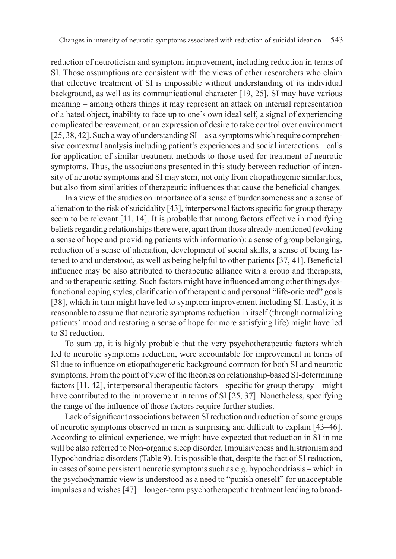reduction of neuroticism and symptom improvement, including reduction in terms of SI. Those assumptions are consistent with the views of other researchers who claim that effective treatment of SI is impossible without understanding of its individual background, as well as its communicational character [19, 25]. SI may have various meaning – among others things it may represent an attack on internal representation of a hated object, inability to face up to one's own ideal self, a signal of experiencing complicated bereavement, or an expression of desire to take control over environment [25, 38, 42]. Such a way of understanding SI – as a symptoms which require comprehensive contextual analysis including patient's experiences and social interactions – calls for application of similar treatment methods to those used for treatment of neurotic symptoms. Thus, the associations presented in this study between reduction of intensity of neurotic symptoms and SI may stem, not only from etiopathogenic similarities, but also from similarities of therapeutic influences that cause the beneficial changes.

In a view of the studies on importance of a sense of burdensomeness and a sense of alienation to the risk of suicidality [43], interpersonal factors specific for group therapy seem to be relevant [11, 14]. It is probable that among factors effective in modifying beliefs regarding relationships there were, apart from those already-mentioned (evoking a sense of hope and providing patients with information): a sense of group belonging, reduction of a sense of alienation, development of social skills, a sense of being listened to and understood, as well as being helpful to other patients [37, 41]. Beneficial influence may be also attributed to therapeutic alliance with a group and therapists, and to therapeutic setting. Such factors might have influenced among other things dysfunctional coping styles, clarification of therapeutic and personal "life-oriented" goals [38], which in turn might have led to symptom improvement including SI. Lastly, it is reasonable to assume that neurotic symptoms reduction in itself (through normalizing patients' mood and restoring a sense of hope for more satisfying life) might have led to SI reduction.

To sum up, it is highly probable that the very psychotherapeutic factors which led to neurotic symptoms reduction, were accountable for improvement in terms of SI due to influence on etiopathogenetic background common for both SI and neurotic symptoms. From the point of view of the theories on relationship-based SI-determining factors [11, 42], interpersonal therapeutic factors – specific for group therapy – might have contributed to the improvement in terms of SI [25, 37]. Nonetheless, specifying the range of the influence of those factors require further studies.

Lack of significant associations between SI reduction and reduction of some groups of neurotic symptoms observed in men is surprising and difficult to explain [43–46]. According to clinical experience, we might have expected that reduction in SI in me will be also referred to Non-organic sleep disorder, Impulsiveness and histrionism and Hypochondriac disorders (Table 9). It is possible that, despite the fact of SI reduction, in cases of some persistent neurotic symptoms such as e.g. hypochondriasis – which in the psychodynamic view is understood as a need to "punish oneself" for unacceptable impulses and wishes [47] – longer-term psychotherapeutic treatment leading to broad-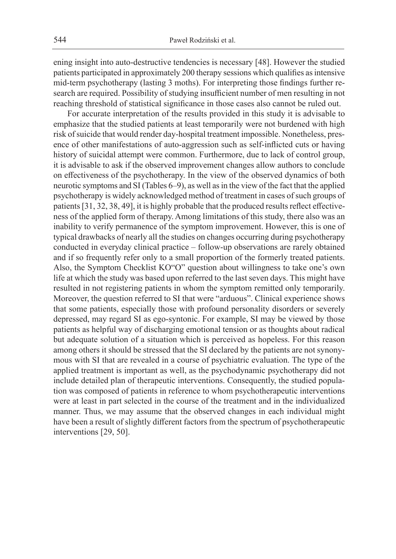ening insight into auto-destructive tendencies is necessary [48]. However the studied patients participated in approximately 200 therapy sessions which qualifies as intensive mid-term psychotherapy (lasting 3 moths). For interpreting those findings further research are required. Possibility of studying insufficient number of men resulting in not reaching threshold of statistical significance in those cases also cannot be ruled out.

For accurate interpretation of the results provided in this study it is advisable to emphasize that the studied patients at least temporarily were not burdened with high risk of suicide that would render day-hospital treatment impossible. Nonetheless, presence of other manifestations of auto-aggression such as self-inflicted cuts or having history of suicidal attempt were common. Furthermore, due to lack of control group, it is advisable to ask if the observed improvement changes allow authors to conclude on effectiveness of the psychotherapy. In the view of the observed dynamics of both neurotic symptoms and SI (Tables 6–9), as well as in the view of the fact that the applied psychotherapy is widely acknowledged method of treatment in cases of such groups of patients [31, 32, 38, 49], it is highly probable that the produced results reflect effectiveness of the applied form of therapy. Among limitations of this study, there also was an inability to verify permanence of the symptom improvement. However, this is one of typical drawbacks of nearly all the studies on changes occurring during psychotherapy conducted in everyday clinical practice – follow-up observations are rarely obtained and if so frequently refer only to a small proportion of the formerly treated patients. Also, the Symptom Checklist KO"O" question about willingness to take one's own life at which the study was based upon referred to the last seven days. This might have resulted in not registering patients in whom the symptom remitted only temporarily. Moreover, the question referred to SI that were "arduous". Clinical experience shows that some patients, especially those with profound personality disorders or severely depressed, may regard SI as ego-syntonic. For example, SI may be viewed by those patients as helpful way of discharging emotional tension or as thoughts about radical but adequate solution of a situation which is perceived as hopeless. For this reason among others it should be stressed that the SI declared by the patients are not synonymous with SI that are revealed in a course of psychiatric evaluation. The type of the applied treatment is important as well, as the psychodynamic psychotherapy did not include detailed plan of therapeutic interventions. Consequently, the studied population was composed of patients in reference to whom psychotherapeutic interventions were at least in part selected in the course of the treatment and in the individualized manner. Thus, we may assume that the observed changes in each individual might have been a result of slightly different factors from the spectrum of psychotherapeutic interventions [29, 50].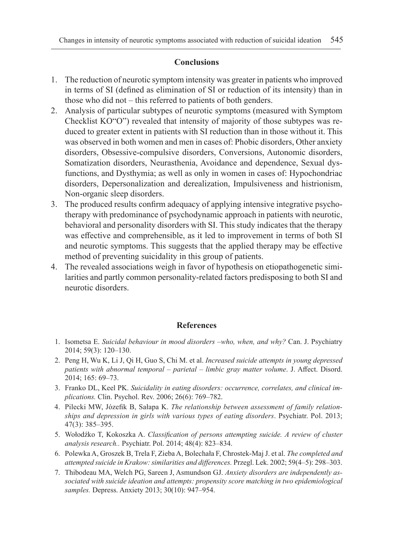# **Conclusions**

- 1. The reduction of neurotic symptom intensity was greater in patients who improved in terms of SI (defined as elimination of SI or reduction of its intensity) than in those who did not – this referred to patients of both genders.
- 2. Analysis of particular subtypes of neurotic symptoms (measured with Symptom Checklist KO"O") revealed that intensity of majority of those subtypes was reduced to greater extent in patients with SI reduction than in those without it. This was observed in both women and men in cases of: Phobic disorders, Other anxiety disorders, Obsessive-compulsive disorders, Conversions, Autonomic disorders, Somatization disorders, Neurasthenia, Avoidance and dependence, Sexual dysfunctions, and Dysthymia; as well as only in women in cases of: Hypochondriac disorders, Depersonalization and derealization, Impulsiveness and histrionism, Non-organic sleep disorders.
- 3. The produced results confirm adequacy of applying intensive integrative psychotherapy with predominance of psychodynamic approach in patients with neurotic, behavioral and personality disorders with SI. This study indicates that the therapy was effective and comprehensible, as it led to improvement in terms of both SI and neurotic symptoms. This suggests that the applied therapy may be effective method of preventing suicidality in this group of patients.
- 4. The revealed associations weigh in favor of hypothesis on etiopathogenetic similarities and partly common personality-related factors predisposing to both SI and neurotic disorders.

## **References**

- 1. Isometsa E. *Suicidal behaviour in mood disorders –who, when, and why?* Can. J. Psychiatry 2014; 59(3): 120–130.
- 2. Peng H, Wu K, Li J, Qi H, Guo S, Chi M. et al. *Increased suicide attempts in young depressed patients with abnormal temporal – parietal – limbic gray matter volume*. J. Affect. Disord. 2014; 165: 69–73.
- 3. Franko DL, Keel PK. *Suicidality in eating disorders: occurrence, correlates, and clinical implications.* Clin. Psychol. Rev. 2006; 26(6): 769–782.
- 4. Pilecki MW, Józefik B, Sałapa K. *The relationship between assessment of family relationships and depression in girls with various types of eating disorders*. Psychiatr. Pol. 2013; 47(3): 385–395.
- 5. Wołodźko T, Kokoszka A. *Classification of persons attempting suicide. A review of cluster analysis research..* Psychiatr. Pol. 2014; 48(4): 823–834.
- 6. Polewka A, Groszek B, Trela F, Zieba A, Bolechała F, Chrostek-Maj J. et al. *The completed and attempted suicide in Krakow: similarities and differences.* Przegl. Lek. 2002; 59(4–5): 298–303.
- 7. Thibodeau MA, Welch PG, Sareen J, Asmundson GJ. *Anxiety disorders are independently associated with suicide ideation and attempts: propensity score matching in two epidemiological samples.* Depress. Anxiety 2013; 30(10): 947–954.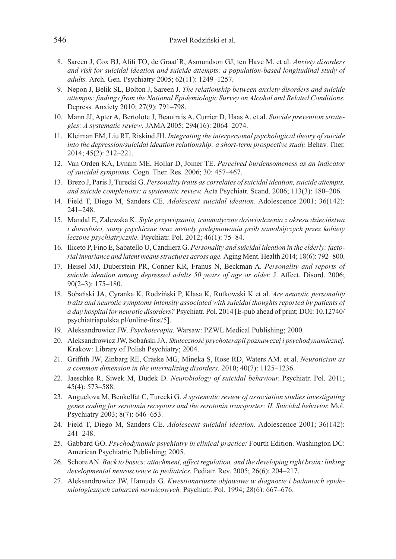- 8. Sareen J, Cox BJ, Afifi TO, de Graaf R, Asmundson GJ, ten Have M. et al. *Anxiety disorders and risk for suicidal ideation and suicide attempts: a population-based longitudinal study of adults.* Arch. Gen. Psychiatry 2005; 62(11): 1249–1257.
- 9. Nepon J, Belik SL, Bolton J, Sareen J. *The relationship between anxiety disorders and suicide attempts: findings from the National Epidemiologic Survey on Alcohol and Related Conditions.*  Depress. Anxiety 2010; 27(9): 791–798.
- 10. Mann JJ, Apter A, Bertolote J, Beautrais A, Currier D, Haas A. et al. *Suicide prevention strategies: A systematic review*. JAMA 2005; 294(16): 2064–2074.
- 11. Kleiman EM, Liu RT, Riskind JH. *Integrating the interpersonal psychological theory of suicide into the depression/suicidal ideation relationship: a short-term prospective study.* Behav. Ther. 2014; 45(2): 212–221.
- 12. Van Orden KA, Lynam ME, Hollar D, Joiner TE. *Perceived burdensomeness as an indicator of suicidal symptoms.* Cogn. Ther. Res. 2006; 30: 457–467.
- 13. Brezo J, Paris J, Turecki G. *Personality traits as correlates of suicidal ideation, suicide attempts, and suicide completions: a systematic review.* Acta Psychiatr. Scand. 2006; 113(3): 180–206.
- 14. Field T, Diego M, Sanders CE. *Adolescent suicidal ideation*. Adolescence 2001; 36(142): 241–248.
- 15. Mandal E, Zalewska K. *Style przywiązania, traumatyczne doświadczenia z okresu dzieciństwa i dorosłości, stany psychiczne oraz metody podejmowania prób samobójczych przez kobiety leczone psychiatrycznie.* Psychiatr. Pol. 2012; 46(1): 75–84.
- 16. Iliceto P, Fino E, Sabatello U, Candilera G. *Personality and suicidal ideation in the elderly: factorial invariance and latent means structures across age.* Aging Ment. Health 2014; 18(6): 792–800.
- 17. Heisel MJ, Duberstein PR, Conner KR, Franus N, Beckman A. *Personality and reports of suicide ideation among depressed adults 50 years of age or older.* J. Affect. Disord. 2006; 90(2–3): 175–180.
- 18. Sobański JA, Cyranka K, Rodziński P, Klasa K, Rutkowski K et al. *Are neurotic personality traits and neurotic symptoms intensity associated with suicidal thoughts reported by patients of a day hospital for neurotic disorders?* Psychiatr. Pol. 2014 [E-pub ahead of print; DOI: 10.12740/ psychiatriapolska.pl/online-first/5].
- 19. Aleksandrowicz JW. *Psychoterapia.* Warsaw: PZWL Medical Publishing; 2000.
- 20. Aleksandrowicz JW, Sobański JA. *Skuteczność psychoterapii poznawczej i psychodynamicznej.*  Krakow: Library of Polish Psychiatry; 2004.
- 21. Griffith JW, Zinbarg RE, Craske MG, Mineka S, Rose RD, Waters AM. et al. *Neuroticism as a common dimension in the internalizing disorders.* 2010; 40(7): 1125–1236.
- 22. Jaeschke R, Siwek M, Dudek D. *Neurobiology of suicidal behaviour.* Psychiatr. Pol. 2011; 45(4): 573–588.
- 23. Anguelova M, Benkelfat C, Turecki G. *A systematic review of association studies investigating genes coding for serotonin receptors and the serotonin transporter: II. Suicidal behavior.* Mol. Psychiatry 2003; 8(7): 646–653.
- 24. Field T, Diego M, Sanders CE. *Adolescent suicidal ideation*. Adolescence 2001; 36(142): 241–248.
- 25. Gabbard GO. *Psychodynamic psychiatry in clinical practice:* Fourth Edition. Washington DC: American Psychiatric Publishing; 2005.
- 26. Schore AN. *Back to basics: attachment, affect regulation, and the developing right brain: linking developmental neuroscience to pediatrics.* Pediatr. Rev. 2005; 26(6): 204–217.
- 27. Aleksandrowicz JW, Hamuda G. *Kwestionariusze objawowe w diagnozie i badaniach epidemiologicznych zaburzeń nerwicowych.* Psychiatr. Pol. 1994; 28(6): 667–676.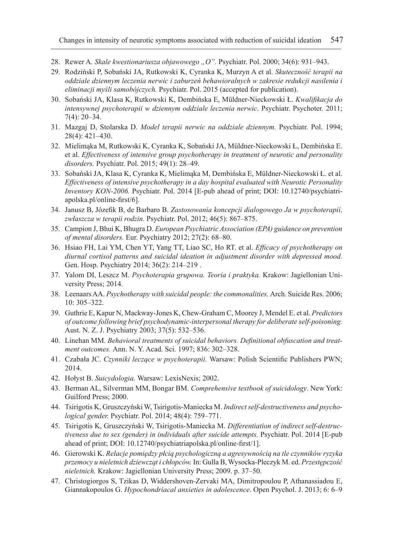- 28. Rewer A. *Skale kwestionariusza objawowego "O".* Psychiatr. Pol. 2000; 34(6): 931–943.
- 29. Rodziński P, Sobański JA, Rutkowski K, Cyranka K, Murzyn A et al. *Skuteczność terapii na oddziale dziennym leczenia nerwic i zaburzeń behawioralnych w zakresie redukcji nasilenia i eliminacji myśli samobójczych.* Psychiatr. Pol. 2015 (accepted for publication).
- 30. Sobański JA, Klasa K, Rutkowski K, Dembińska E, Müldner-Nieckowski Ł. *Kwalifikacja do intensywnej psychoterapii w dziennym oddziale leczenia nerwic*. Psychiatr. Psychoter. 2011; 7(4): 20–34.
- 31. Mazgaj D, Stolarska D. *Model terapii nerwic na oddziale dziennym.* Psychiatr. Pol. 1994; 28(4): 421–430.
- 32. Mielimąka M, Rutkowski K, Cyranka K, Sobański JA, Müldner-Nieckowski Ł, Dembińska E. et al. *Effectiveness of intensive group psychotherapy in treatment of neurotic and personality disorders.* Psychiatr. Pol. 2015; 49(1): 28–49.
- 33. Sobański JA, Klasa K, Cyranka K, Mielimąka M, Dembińska E, Müldner-Nieckowski Ł. et al. *Effectiveness of intensive psychotherapy in a day hospital evaluated with Neurotic Personality Inventory KON-2006.* Psychiatr. Pol. 2014 [E-pub ahead of print; DOI: 10.12740/psychiatriapolska.pl/online-first/6].
- 34. Janusz B, Józefik B, de Barbaro B. *Zastosowania koncepcji dialogowego Ja w psychoterapii, zwłaszcza w terapii rodzin.* Psychiatr. Pol. 2012; 46(5): 867–875.
- 35. Campion J, Bhui K, Bhugra D. *European Psychiatric Association (EPA) guidance on prevention of mental disorders.* Eur. Psychiatry 2012; 27(2): 68–80.
- 36. Hsiao FH, Lai YM, Chen YT, Yang TT, Liao SC, Ho RT. et al. *Efficacy of psychotherapy on diurnal cortisol patterns and suicidal ideation in adjustment disorder with depressed mood.*  Gen. Hosp. Psychiatry 2014; 36(2): 214–219 .
- 37. Yalom DI, Leszcz M. *Psychoterapia grupowa. Teoria i praktyka.* Krakow: Jagiellonian University Press; 2014.
- 38. Leenaars AA. *Psychotherapy with suicidal people: the commonalities.* Arch. Suicide Res. 2006; 10: 305–322.
- 39. Guthrie E, Kapur N, Mackway-Jones K, Chew-Graham C, Moorey J, Mendel E. et al. *Predictors of outcome following brief psychodynamic-interpersonal therapy for deliberate self-poisoning.*  Aust. N. Z. J. Psychiatry 2003; 37(5): 532–536.
- 40. Linehan MM. *Behavioral treatments of suicidal behaviors. Definitional obfuscation and treatment outcomes.* Ann. N. Y. Acad. Sci. 1997; 836: 302–328.
- 41. Czabała JC. *Czynniki leczące w psychoterapii.* Warsaw: Polish Scientific Publishers PWN; 2014.
- 42. Hołyst B. *Suicydologia.* Warsaw: LexisNexis; 2002.
- 43. Berman AL, Silverman MM, Bongar BM. *Comprehensive textbook of suicidology*. New York: Guilford Press; 2000.
- 44. Tsirigotis K, Gruszczyński W, Tsirigotis-Maniecka M. *Indirect self-destructiveness and psychological gender.* Psychiatr. Pol. 2014; 48(4): 759–771.
- 45. Tsirigotis K, Gruszczyński W, Tsirigotis-Maniecka M. *Differentiation of indirect self-destructiveness due to sex (gender) in individuals after suicide attempts.* Psychiatr. Pol. 2014 [E-pub ahead of print; DOI: 10.12740/psychiatriapolska.pl/online-first/1].
- 46. Gierowski K. *Relacje pomiędzy płcią psychologiczną a agresywnością na tle czynników ryzyka przemocy u nieletnich dziewcząt i chłopców.* In: Gulla B, Wysocka-Pleczyk M. ed. *Przestępczość nieletnich.* Krakow: Jagiellonian University Press; 2009. p. 37–50.
- 47. Christogiorgos S, Tzikas D, Widdershoven-Zervaki MA, Dimitropoulou P, Athanassiadou E, Giannakopoulos G. *Hypochondriacal anxieties in adolescence*. Open Psychol. J. 2013; 6: 6–9